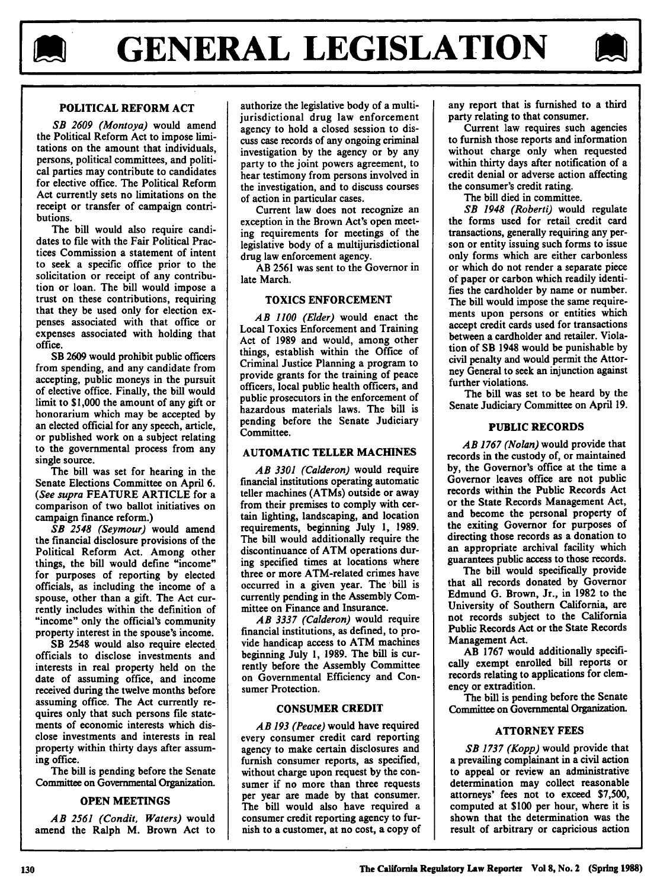



# **POLITICAL REFORM ACT**

*SB 2609 (Montoya)* would amend the Political Reform Act to impose **limi**tations on the amount that individuals, persons, political committees, and political parties may contribute to candidates for elective office. The Political Reform Act currently sets no limitations on the receipt or transfer of campaign contributions.

The bill would also require candidates to file with the Fair Political Practices Commission a statement of intent to seek a specific office prior to the solicitation or receipt of any contribution or loan. The bill would impose a trust on these contributions, requiring that they be used only for election expenses associated with that office or expenses associated with holding that office.

SB **2609** would prohibit public officers from spending, and any candidate from accepting, public moneys in the pursuit of elective office. Finally, the bill would limit to **\$1,000** the amount of any gift or honorarium which may be accepted **by** an elected official for any speech, article, or published work on a subject relating to the governmental process from any single source.

The bill was set for hearing in the Senate Elections Committee on April **6.** *(See supra* **FEATURE** ARTICLE for a comparison of two ballot initiatives on campaign finance reform.)

*SB 2548 (Seymour)* would amend the financial disclosure provisions of the Political Reform Act. Among other things, the bill would define "income" for purposes of reporting **by** elected officials, as including the income of a spouse, other than a gift. The Act currently includes within the definition of "income" only the official's community property interest in the spouse's income.

SB 2548 would also require elected officials to disclose investments and interests in real property held on the date of assuming office, and income received during the twelve months before assuming office. The Act currently requires only that such persons file statements of economic interests which disclose investments and interests in real property within thirty days after assuming office.

The bill is pending before the Senate Committee on Governmental Organization.

## **OPEN MEETINGS**

*AB 2561 (Condit, Waters)* would amend the Ralph M. Brown Act to

authorize the legislative body of a multijurisdictional drug law enforcement agency to hold a closed session to discuss case records of any ongoing criminal investigation **by** the agency or **by** any party to the joint powers agreement, to hear testimony from persons involved in the investigation, and to discuss courses of action in particular cases.

Current law does not recognize an exception in the Brown Act's open meeting requirements for meetings of the legislative body of a multijurisdictional drug law enforcement agency.

**AB 2561** was sent to the Governor in late March.

## TOXICS **ENFORCEMENT**

*AB 1100 (Elder)* would enact the Local Toxics Enforcement and Training Act of **1989** and would, among other things, establish within the Office of Criminal Justice Planning a program to provide grants for the training of peace officers, local public health officers, and public prosecutors in the enforcement of hazardous materials laws. The bill is pending before the Senate Judiciary Committee.

## AUTOMATIC TELLER **MACHINES**

AB **3301** (Calderon) would require financial institutions operating automatic teller machines (ATMs) outside or away from their premises to comply with certain lighting, landscaping, and location requirements, beginning July **1, 1989.** The bill would additionally require the discontinuance of ATM operations during specified times at locations where three or more ATM-related crimes have occurred in a given year. The bill is currently pending in the Assembly Committee on Finance and Insurance.

*AB 3337 (Calderon)* would require financial institutions, as defined, to provide handicap access to ATM machines beginning July **1, 1989.** The **bill** is currently before the Assembly Committee on Governmental Efficiency and Consumer Protection.

## **CONSUMER** CREDIT

*AB 193 (Peace)* would have required every consumer credit card reporting agency to make certain disclosures and furnish consumer reports, as specified, without charge upon request **by** the consumer **if** no more than three requests per year are made **by** that consumer. The bill would also have required a consumer credit reporting agency to furnish to a customer, at no cost, a copy of

any report that is furnished to a third party relating to that consumer.

Current law requires such agencies to furnish those reports and information without charge only when requested within thirty days after notification of a credit denial or adverse action affecting the consumer's credit rating.

The bill died in committee.

*SB 1948 (Roberti)* would regulate the forms used for retail credit card transactions, generally requiring any person or entity issuing such forms to issue **only** forms which are either carbonless or which do not render a separate piece of paper or carbon which readily identifies the cardholder **by** name or number. The bill would impose the same requirements upon persons or entities which accept credit cards used for transactions between a cardholder and retailer. Violation of SB 1948 would be punishable **by** civil penalty and would permit the Attorney General to seek an injunction against further violations.

The bill was set to be heard **by** the Senate Judiciary Committee on April **19.**

# **PUBLIC RECORDS**

*AB 1767 (Nolan)* would provide that records in the custody of, or maintained **by,** the Governor's office at the time a Governor leaves office are not public records within the Public Records Act or the State Records Management Act, and become the personal property of the exiting Governor for purposes of directing those records as a donation to an appropriate archival facility which guarantees public access to those records.

The bill would specifically provide that all records donated **by** Governor Edmund **G.** Brown, Jr., in **1982** to the University of Southern California, are not records subject to the California Public Records Act or the State Records Management Act.

AB **1767** would additionally specifically exempt enrolled bill reports or records relating to applications for clemency or extradition.

The **bill** is pending before the Senate Committee on Governmental Organization.

# **ATTORNEY FEES**

*SB 1737 (Kopp)* would provide that a prevailing complainant in a civil action to appeal or review an administrative determination may collect reasonable attorneys' fees not to exceed \$7,500, computed at **\$100** per hour, where it is shown that the determination was the result of arbitrary or capricious action